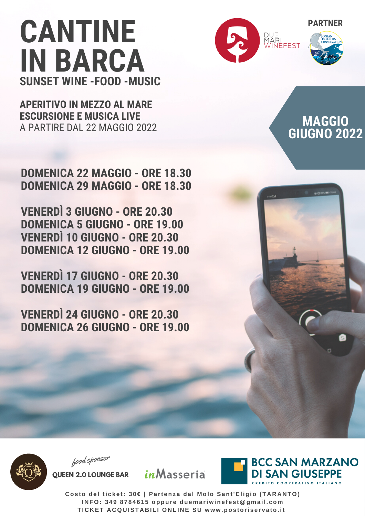**APERITIVO IN MEZZO AL MARE ESCURSIONE E MUSICA LIVE** A PARTIRE DAL 22 MAGGIO 2022

**DOMENICA 22 MAGGIO - ORE 18.30 DOMENICA 29 MAGGIO - ORE 18.30**

**VENERDÌ 3 GIUGNO - ORE 20.30 DOMENICA 5 GIUGNO - ORE 19.00 VENERDÌ 10 GIUGNO - ORE 20.30 DOMENICA 12 GIUGNO - ORE 19.00**

**VENERDÌ 17 GIUGNO - ORE 20.30 DOMENICA 19 GIUGNO - ORE 19.00**

**VENERDÌ 24 GIUGNO - ORE 20.30 DOMENICA 26 GIUGNO - ORE 19.00**



#### **MAGGIO GIUGNO 2022**



food sponsor

**QUEEN 2.0 LOUNGE BAR**



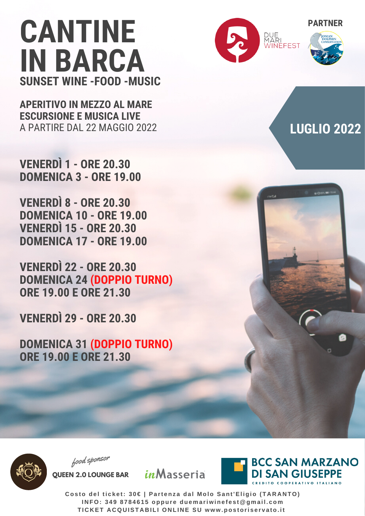**APERITIVO IN MEZZO AL MARE ESCURSIONE E MUSICA LIVE** A PARTIRE DAL 22 MAGGIO 2022

**VENERDÌ 1 - ORE 20.30 DOMENICA 3 - ORE 19.00**

**VENERDÌ 8 - ORE 20.30 DOMENICA 10 - ORE 19.00 VENERDÌ 15 - ORE 20.30 DOMENICA 17 - ORE 19.00**

**VENERDÌ 22 - ORE 20.30 DOMENICA 24 (DOPPIO TURNO) ORE 19.00 E ORE 21.30**

**VENERDÌ 29 - ORE 20.30**

**DOMENICA 31 (DOPPIO TURNO) ORE 19.00 E ORE 21.30**



### **LUGLIO 2022**



food sponsor

**QUEEN 2.0 LOUNGE BAR**

*in*Masseria

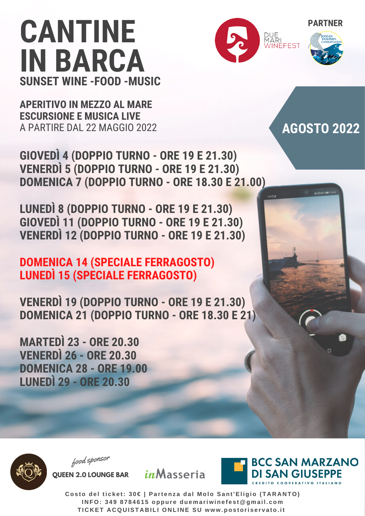**APERITIVO IN MEZZO AL MARE ESCURSIONE E MUSICA LIVE** A PARTIRE DAL 22 MAGGIO 2022





### **AGOSTO 2022**

**GIOVEDÌ 4 (DOPPIO TURNO - ORE 19 E 21.30) VENERDÌ 5 (DOPPIO TURNO - ORE 19 E 21.30) DOMENICA 7 (DOPPIO TURNO - ORE 18.30 E 21.00)**

**LUNEDÌ 8 (DOPPIO TURNO - ORE 19 E 21.30) GIOVEDÌ 11 (DOPPIO TURNO - ORE 19 E 21.30) VENERDÌ 12 (DOPPIO TURNO - ORE 19 E 21.30)**

#### **DOMENICA 14 (SPECIALE FERRAGOSTO) LUNEDÌ 15 (SPECIALE FERRAGOSTO)**

**VENERDÌ 19 (DOPPIO TURNO - ORE 19 E 21.30) DOMENICA 21 (DOPPIO TURNO - ORE 18.30 E 21)**

**MARTEDÌ 23 - ORE 20.30 VENERDÌ 26 - ORE 20.30 DOMENICA 28 - ORE 19.00 LUNEDÌ 29 - ORE 20.30**





food sponsor

**QUEEN 2.0 LOUNGE BAR**